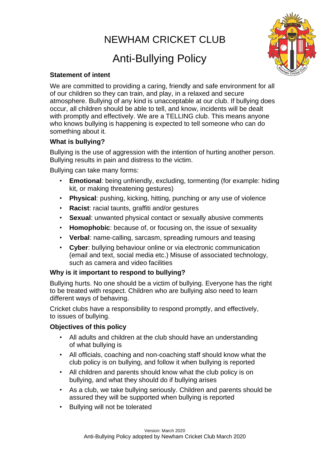# NEWHAM CRICKET CLUB

# Anti-Bullying Policy



### **Statement of intent**

We are committed to providing a caring, friendly and safe environment for all of our children so they can train, and play, in a relaxed and secure atmosphere. Bullying of any kind is unacceptable at our club. If bullying does occur, all children should be able to tell, and know, incidents will be dealt with promptly and effectively. We are a TELLING club. This means anyone who knows bullying is happening is expected to tell someone who can do something about it.

# **What is bullying?**

Bullying is the use of aggression with the intention of hurting another person. Bullying results in pain and distress to the victim.

Bullying can take many forms:

- **Emotional:** being unfriendly, excluding, tormenting (for example: hiding kit, or making threatening gestures)
- **Physical**: pushing, kicking, hitting, punching or any use of violence
- **Racist**: racial taunts, graffiti and/or gestures
- **Sexual:** unwanted physical contact or sexually abusive comments
- **Homophobic**: because of, or focusing on, the issue of sexuality
- **Verbal**: name-calling, sarcasm, spreading rumours and teasing
- **Cyber**: bullying behaviour online or via electronic communication (email and text, social media etc.) Misuse of associated technology, such as camera and video facilities

# **Why is it important to respond to bullying?**

Bullying hurts. No one should be a victim of bullying. Everyone has the right to be treated with respect. Children who are bullying also need to learn different ways of behaving.

Cricket clubs have a responsibility to respond promptly, and effectively, to issues of bullying.

### **Objectives of this policy**

- All adults and children at the club should have an understanding of what bullying is
- All officials, coaching and non-coaching staff should know what the club policy is on bullying, and follow it when bullying is reported
- All children and parents should know what the club policy is on bullying, and what they should do if bullying arises
- As a club, we take bullying seriously. Children and parents should be assured they will be supported when bullying is reported
- Bullying will not be tolerated